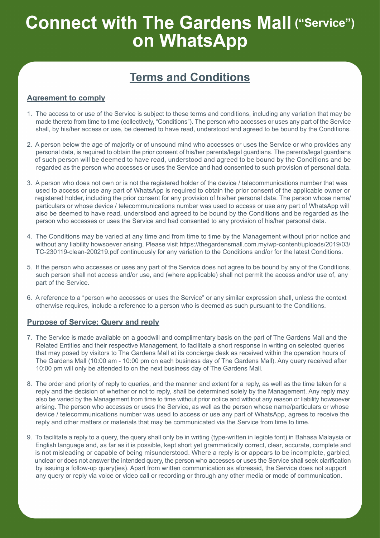### **Terms and Conditions**

### **Agreement to comply**

- 1. The access to or use of the Service is subject to these terms and conditions, including any variation that may be made thereto from time to time (collectively, "Conditions"). The person who accesses or uses any part of the Service shall, by his/her access or use, be deemed to have read, understood and agreed to be bound by the Conditions.
- 2. A person below the age of majority or of unsound mind who accesses or uses the Service or who provides any personal data, is required to obtain the prior consent of his/her parents/legal guardians. The parents/legal guardians of such person will be deemed to have read, understood and agreed to be bound by the Conditions and be regarded as the person who accesses or uses the Service and had consented to such provision of personal data.
- 3. A person who does not own or is not the registered holder of the device / telecommunications number that was used to access or use any part of WhatsApp is required to obtain the prior consent of the applicable owner or registered holder, including the prior consent for any provision of his/her personal data. The person whose name/ particulars or whose device / telecommunications number was used to access or use any part of WhatsApp will also be deemed to have read, understood and agreed to be bound by the Conditions and be regarded as the person who accesses or uses the Service and had consented to any provision of his/her personal data.
- 4. The Conditions may be varied at any time and from time to time by the Management without prior notice and without any liability howsoever arising. Please visit https://thegardensmall.com.my/wp-content/uploads/2019/03/ TC-230119-clean-200219.pdf continuously for any variation to the Conditions and/or for the latest Conditions.
- 5. If the person who accesses or uses any part of the Service does not agree to be bound by any of the Conditions, such person shall not access and/or use, and (where applicable) shall not permit the access and/or use of, any part of the Service.
- 6. A reference to a "person who accesses or uses the Service" or any similar expression shall, unless the context otherwise requires, include a reference to a person who is deemed as such pursuant to the Conditions.

#### **Purpose of Service; Query and reply**

- 7. The Service is made available on a goodwill and complimentary basis on the part of The Gardens Mall and the Related Entities and their respective Management, to facilitate a short response in writing on selected queries that may posed by visitors to The Gardens Mall at its concierge desk as received within the operation hours of The Gardens Mall (10:00 am - 10:00 pm on each business day of The Gardens Mall). Any query received after 10:00 pm will only be attended to on the next business day of The Gardens Mall.
- 8. The order and priority of reply to queries, and the manner and extent for a reply, as well as the time taken for a reply and the decision of whether or not to reply, shall be determined solely by the Management. Any reply may also be varied by the Management from time to time without prior notice and without any reason or liability howsoever arising. The person who accesses or uses the Service, as well as the person whose name/particulars or whose device / telecommunications number was used to access or use any part of WhatsApp, agrees to receive the reply and other matters or materials that may be communicated via the Service from time to time.
- 9. To facilitate a reply to a query, the query shall only be in writing (type-written in legible font) in Bahasa Malaysia or English language and, as far as it is possible, kept short yet grammatically correct, clear, accurate, complete and is not misleading or capable of being misunderstood. Where a reply is or appears to be incomplete, garbled, unclear or does not answer the intended query, the person who accesses or uses the Service shall seek clarification by issuing a follow-up query(ies). Apart from written communication as aforesaid, the Service does not support any query or reply via voice or video call or recording or through any other media or mode of communication.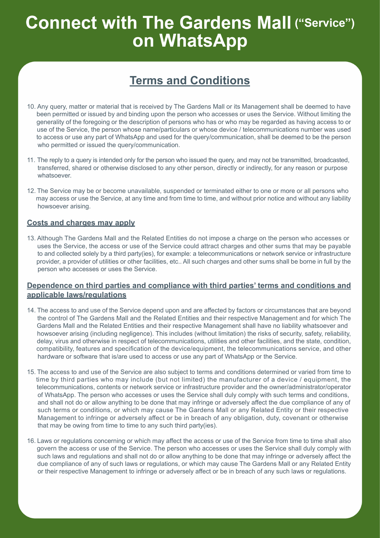## **Terms and Conditions**

- 10. Any query, matter or material that is received by The Gardens Mall or its Management shall be deemed to have been permitted or issued by and binding upon the person who accesses or uses the Service. Without limiting the generality of the foregoing or the description of persons who has or who may be regarded as having access to or use of the Service, the person whose name/particulars or whose device / telecommunications number was used to access or use any part of WhatsApp and used for the query/communication, shall be deemed to be the person who permitted or issued the query/communication.
- 11. The reply to a query is intended only for the person who issued the query, and may not be transmitted, broadcasted, transferred, shared or otherwise disclosed to any other person, directly or indirectly, for any reason or purpose whatsoever.
- 12. The Service may be or become unavailable, suspended or terminated either to one or more or all persons who may access or use the Service, at any time and from time to time, and without prior notice and without any liability howsoever arising.

#### **Costs and charges may apply**

13. Although The Gardens Mall and the Related Entities do not impose a charge on the person who accesses or uses the Service, the access or use of the Service could attract charges and other sums that may be payable to and collected solely by a third party(ies), for example: a telecommunications or network service or infrastructure provider, a provider of utilities or other facilities, etc.. All such charges and other sums shall be borne in full by the person who accesses or uses the Service.

### **Dependence on third parties and compliance with third parties' terms and conditions and applicable laws/regulations**

- 14. The access to and use of the Service depend upon and are affected by factors or circumstances that are beyond the control of The Gardens Mall and the Related Entities and their respective Management and for which The Gardens Mall and the Related Entities and their respective Management shall have no liability whatsoever and howsoever arising (including negligence). This includes (without limitation) the risks of security, safety, reliability, delay, virus and otherwise in respect of telecommunications, utilities and other facilities, and the state, condition, compatibility, features and specification of the device/equipment, the telecommunications service, and other hardware or software that is/are used to access or use any part of WhatsApp or the Service.
- 15. The access to and use of the Service are also subject to terms and conditions determined or varied from time to time by third parties who may include (but not limited) the manufacturer of a device / equipment, the telecommunications, contents or network service or infrastructure provider and the owner/administrator/operator of WhatsApp. The person who accesses or uses the Service shall duly comply with such terms and conditions, and shall not do or allow anything to be done that may infringe or adversely affect the due compliance of any of such terms or conditions, or which may cause The Gardens Mall or any Related Entity or their respective Management to infringe or adversely affect or be in breach of any obligation, duty, covenant or otherwise that may be owing from time to time to any such third party(ies).
- 16. Laws or regulations concerning or which may affect the access or use of the Service from time to time shall also govern the access or use of the Service. The person who accesses or uses the Service shall duly comply with such laws and regulations and shall not do or allow anything to be done that may infringe or adversely affect the due compliance of any of such laws or regulations, or which may cause The Gardens Mall or any Related Entity or their respective Management to infringe or adversely affect or be in breach of any such laws or regulations.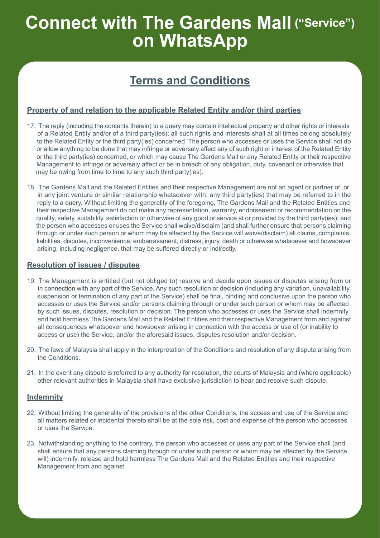## **Terms and Conditions**

### **Property of and relation to the applicable Related Entity and/or third parties**

- 17. The reply (including the contents therein) to a query may contain intellectual property and other rights or interests of a Related Entity and/or of a third party(ies); all such rights and interests shall at all times belong absolutely to the Related Entity or the third party(ies) concerned. The person who accesses or uses the Service shall not do or allow anything to be done that may infringe or adversely affect any of such right or interest of the Related Entity or the third party(ies) concerned, or which may cause The Gardens Mall or any Related Entity or their respective Management to infringe or adversely affect or be in breach of any obligation, duty, covenant or otherwise that may be owing from time to time to any such third party(ies).
- 18. The Gardens Mall and the Related Entities and their respective Management are not an agent or partner of, or in any joint venture or similar relationship whatsoever with, any third party(ies) that may be referred to in the reply to a query. Without limiting the generality of the foregoing, The Gardens Mall and the Related Entities and their respective Management do not make any representation, warranty, endorsement or recommendation on the quality, safety, suitability, satisfaction or otherwise of any good or service at or provided by the third party(ies); and the person who accesses or uses the Service shall waive/disclaim (and shall further ensure that persons claiming through or under such person or whom may be affected by the Service will waive/disclaim) all claims, complaints, liabilities, disputes, inconvenience, embarrassment, distress, injury, death or otherwise whatsoever and howsoever arising, including negligence, that may be suffered directly or indirectly.

### **Resolution of issues / disputes**

- 19. The Management is entitled (but not obliged to) resolve and decide upon issues or disputes arising from or in connection with any part of the Service. Any such resolution or decision (including any variation, unavailability, suspension or termination of any part of the Service) shall be final, binding and conclusive upon the person who accesses or uses the Service and/or persons claiming through or under such person or whom may be affected by such issues, disputes, resolution or decision. The person who accesses or uses the Service shall indemnify and hold harmless The Gardens Mall and the Related Entities and their respective Management from and against all consequences whatsoever and howsoever arising in connection with the access or use of (or inability to access or use) the Service, and/or the aforesaid issues, disputes resolution and/or decision.
- 20. The laws of Malaysia shall apply in the interpretation of the Conditions and resolution of any dispute arising from the Conditions.
- 21. In the event any dispute is referred to any authority for resolution, the courts of Malaysia and (where applicable) other relevant authorities in Malaysia shall have exclusive jurisdiction to hear and resolve such dispute.

#### **Indemnity**

- 22. Without limiting the generality of the provisions of the other Conditions, the access and use of the Service and all matters related or incidental thereto shall be at the sole risk, cost and expense of the person who accesses or uses the Service.
- 23. Notwithstanding anything to the contrary, the person who accesses or uses any part of the Service shall (and shall ensure that any persons claiming through or under such person or whom may be affected by the Service will) indemnify, release and hold harmless The Gardens Mall and the Related Entities and their respective Management from and against: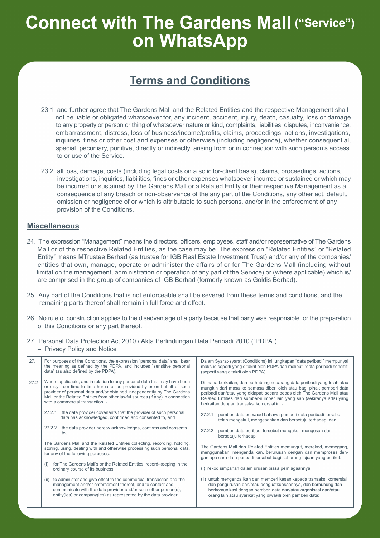### **Terms and Conditions**

- 23.1 and further agree that The Gardens Mall and the Related Entities and the respective Management shall not be liable or obligated whatsoever for, any incident, accident, injury, death, casualty, loss or damage to any property or person or thing of whatsoever nature or kind, complaints, liabilities, disputes, inconvenience, embarrassment, distress, loss of business/income/profits, claims, proceedings, actions, investigations, inquiries, fines or other cost and expenses or otherwise (including negligence), whether consequential, special, pecuniary, punitive, directly or indirectly, arising from or in connection with such person's access to or use of the Service.
- 23.2 all loss, damage, costs (including legal costs on a solicitor-client basis), claims, proceedings, actions, investigations, inquiries, liabilities, fines or other expenses whatsoever incurred or sustained or which may be incurred or sustained by The Gardens Mall or a Related Entity or their respective Management as a consequence of any breach or non-observance of the any part of the Conditions, any other act, default, omission or negligence of or which is attributable to such persons, and/or in the enforcement of any provision of the Conditions.

### **Miscellaneous**

- 24. The expression "Management" means the directors, officers, employees, staff and/or representative of The Gardens Mall or of the respective Related Entities, as the case may be. The expression "Related Entities" or "Related Entity" means MTrustee Berhad (as trustee for IGB Real Estate Investment Trust) and/or any of the companies/ entities that own, manage, operate or administer the affairs of or for The Gardens Mall (including without limitation the management, administration or operation of any part of the Service) or (where applicable) which is/ are comprised in the group of companies of IGB Berhad (formerly known as Goldis Berhad).
- 25. Any part of the Conditions that is not enforceable shall be severed from these terms and conditions, and the remaining parts thereof shall remain in full force and effect.
- 26. No rule of construction applies to the disadvantage of a party because that party was responsible for the preparation of this Conditions or any part thereof.
- 27. Personal Data Protection Act 2010 / Akta Perlindungan Data Peribadi 2010 ("PDPA") – Privacy Policy and Notice

| 27.1 | For purposes of the Conditions, the expression "personal data" shall bear<br>the meaning as defined by the PDPA, and includes "sensitive personal<br>data" (as also defined by the PDPA).                                                                                                                                                          | Dalam Syarat-syarat (Conditions) ini, ungkapan "data peribadi" mempunyai<br>maksud seperti yang ditakrif oleh PDPA dan meliputi "data peribadi sensitif"<br>(seperti yang ditakrif oleh PDPA).                                                                                                                                                     |
|------|----------------------------------------------------------------------------------------------------------------------------------------------------------------------------------------------------------------------------------------------------------------------------------------------------------------------------------------------------|----------------------------------------------------------------------------------------------------------------------------------------------------------------------------------------------------------------------------------------------------------------------------------------------------------------------------------------------------|
| 27.2 | Where applicable, and in relation to any personal data that may have been<br>or may from time to time hereafter be provided by or on behalf of such<br>provider of personal data and/or obtained independently by The Gardens<br>Mall or the Related Entities from other lawful sources (if any) in connection<br>with a commercial transaction: - | Di mana berkaitan, dan berhubung sebarang data peribadi yang telah atau<br>mungkin dari masa ke semasa diberi oleh atau bagi pihak pemberi data<br>peribadi dan/atau yang didapati secara bebas oleh The Gardens Mall atau<br>Related Entities dari sumber-sumber lain yang sah (sekiranya ada) yang<br>berkaitan dengan transaksi komersial ini:- |
|      | the data provider covenants that the provider of such personal<br>27.2.1<br>data has acknowledged, confirmed and consented to, and                                                                                                                                                                                                                 | pemberi data berwaad bahawa pemberi data peribadi tersebut<br>27.2.1<br>telah mengakui, mengesahkan dan bersetuju terhadap, dan                                                                                                                                                                                                                    |
|      | the data provider hereby acknowledges, confirms and consents<br>27.2.2<br>to.                                                                                                                                                                                                                                                                      | pemberi data peribadi tersebut mengakui, mengesah dan<br>27.2.2<br>bersetuju terhadap,                                                                                                                                                                                                                                                             |
|      | The Gardens Mall and the Related Entities collecting, recording, holding,<br>storing, using, dealing with and otherwise processing such personal data,<br>for any of the following purposes:-                                                                                                                                                      | The Gardens Mall dan Related Entities memungut, merekod, memegang,<br>menggunakan, mengendalikan, berurusan dengan dan memproses den-<br>gan apa cara data peribadi tersebut bagi sebarang tujuan yang berikut:-                                                                                                                                   |
|      | for The Gardens Mall's or the Related Entities' record-keeping in the<br>ordinary course of its business;                                                                                                                                                                                                                                          | (i) rekod simpanan dalam urusan biasa perniagaannya;                                                                                                                                                                                                                                                                                               |
|      | to administer and give effect to the commercial transaction and the<br>(ii)<br>management and/or enforcement thereof, and to contact and<br>communicate with the data provider and/or such other person(s),<br>entity(ies) or company(ies) as represented by the data provider;                                                                    | (ii) untuk mengendalikan dan memberi kesan kepada transaksi komersial<br>dan pengurusan dan/atau penguatkuasaannya, dan berhubung dan<br>berkomunikasi dengan pemberi data dan/atau organisasi dan/atau<br>orang lain atau syarikat yang diwakili oleh pemberi data;                                                                               |